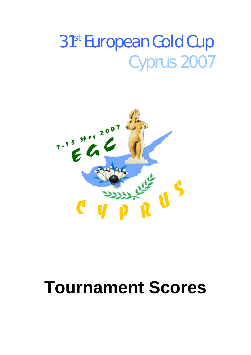# 31<sup>st</sup> European Gold Cup Cyprus 2007



# **Tournament Scores**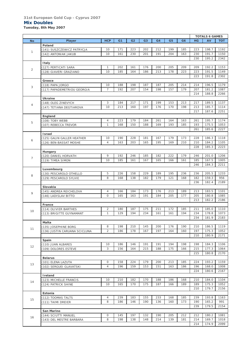#### **31st European Gold Cup - Cyprus 2007 Mix Doubles**

*Tuesday, 8th May 2007*

|                |                               |                |                |                |                |                |                |     |           | <b>TOTALS 6 GAMES</b> |            |
|----------------|-------------------------------|----------------|----------------|----------------|----------------|----------------|----------------|-----|-----------|-----------------------|------------|
| <b>No</b>      | Player                        | <b>HCP</b>     | G <sub>1</sub> | G <sub>2</sub> | G <sub>3</sub> | G <sub>4</sub> | G <sub>5</sub> | G6  | <b>HG</b> | AV                    | <b>TOT</b> |
|                | Poland                        |                |                |                |                |                |                |     |           |                       |            |
|                | (141) SUSZCZEWICZ PATRYCJA    | 10             | 171            | 223            | 202            | 212            | 199            | 185 | 223       | 198.7                 | 1192       |
| $\mathbf{1}$   | (142) ANTONIAK JAKUB          | 10             | 161            | 230            | 201            | 191            | 204            | 163 | 230       | 191.7                 | 1150       |
|                |                               |                |                |                |                |                |                |     | 230       | 195.2                 | 2342       |
|                | <b>Italy</b>                  |                |                |                |                |                |                |     |           |                       |            |
|                | (127) PERTICATI SARA          | $\mathbf{1}$   | 202            | 161            | 176            | 200            | 205            | 209 | 209       | 192.2                 | 1153       |
| $\overline{c}$ |                               | 10             | 185            | 164            | 186            | 213            | 178            | 223 | 223       | 191.5                 | 1149       |
|                | (128) GIAVERI GRAZIANO        |                |                |                |                |                |                |     |           |                       |            |
|                |                               |                |                |                |                |                |                |     | 223       | 191.8                 | 2302       |
|                | Greece                        |                |                |                |                |                |                |     |           |                       |            |
| 3              | (118) PAPA JORGO              | 10             | 188            | 198            | 187            | 187            | 205            | 214 | 214       | 196.5                 | 1179       |
|                | (117) PAPADEMETRIOU GEORGIA   | $\overline{7}$ | 192            | 207            | 154            | 198            | 157            | 179 | 207       | 181.2                 | 1087       |
|                |                               |                |                |                |                |                |                |     | 214       | 188.8                 | 2266       |
|                | Ukraine                       |                |                |                |                |                |                |     |           |                       |            |
| $\overline{4}$ | (148) OLEG ZINEVYCH           | 3              | 184            | 217            | 171            | 199            | 153            | 213 | 217       | 189.5                 | 1137       |
|                | (147) TETIANA DEGTIAROVA      | 10             | 213            | 160            | 197            | 176            | 170            | 198 | 213       | 185.7                 | 1114       |
|                |                               |                |                |                |                |                |                |     | 217       | 187.6                 | 2251       |
|                | England                       |                |                |                |                |                |                |     |           |                       |            |
|                | (108) TOBY WEBB               | $\overline{4}$ | 223            | 179            | 184            | 261            | 164            | 163 | 261       | 195.7                 | 1174       |
| 5              | (107) REBECCA TREVOR          | $\mathbf{1}$   | 168            | 150            | 188            | 169            | 193            | 185 | 193       | 175.5                 | 1053       |
|                |                               |                |                |                |                |                |                |     | 261       | 185.6                 | 2227       |
|                | <b>Israel</b>                 |                |                |                |                |                |                |     |           |                       |            |
|                | (125) GALIN GALLER HEATHER    | 10             | 190            | 228            | 181            | 167            | 179            | 173 | 228       | 186.3                 | 1118       |
| 6              | (126) BEN-BASSAT MOSHE        | $\overline{4}$ | 163            | 203            | 165            | 195            | 169            | 210 | 210       | 184.2                 | 1105       |
|                |                               |                |                |                |                |                |                |     | 228       | 185.3                 | 2223       |
|                |                               |                |                |                |                |                |                |     |           |                       |            |
|                | Hungary                       | 9              | 192            | 246            |                | 182            | 222            | 179 |           | 201.0                 |            |
| $\overline{7}$ | (120) DANIEL HORVATH          |                |                |                | 185            |                |                |     | 246       |                       | 1206       |
|                | (119) TIMEA SIMON             | 10             | 185            | 161            | 167            | 165            | 166            | 161 | 185       | 167.5                 | 1005       |
|                |                               |                |                |                |                |                |                |     | 246       | 184.3                 | 2211       |
|                | Luxembourg                    |                |                |                |                |                |                |     |           |                       |            |
| 8              | (130) PESCAROLO OTHELLO       | 5              | 226            | 158            | 229            | 189            | 195            | 236 | 236       | 205.5                 | 1233       |
|                | (129) PESCAROLO SYLVIE        | 8              | 168            | 138            | 182            | 179            | 121            | 168 | 182       | 159.3                 | 956        |
|                |                               |                |                |                |                |                |                |     | 236       | 182.4                 | 2189       |
|                | Slovakia                      |                |                |                |                |                |                |     |           |                       |            |
| 9              | (145) ANDREA REICHELOVA       | $\overline{4}$ | 166            | 184            | 173            | 176            | 213            | 189 | 213       | 183.5                 | 1101       |
|                | (146) LADISLAV BITTO          | $\circ$        | 165            | 163            | 191            | 184            | 205            | 177 | 205       | 180.8                 | 1085       |
|                |                               |                |                |                |                |                |                |     | 213       | 182.2                 | 2186       |
|                | France                        |                |                |                |                |                |                |     |           |                       |            |
|                | (114) OLIVIER BARTHES         | $\overline{2}$ | 180            | 187            | 175            | 211            | 172            | 185 | 211       | 185.0                 | 1110       |
| 10             | (113) BRIGITTE GUYNAMANT      | $\mathbf{1}$   | 129            | 194            | 234            | 161            | 161            | 194 | 234       | 178.8                 | 1073       |
|                |                               |                |                |                |                |                |                |     | 234       | 181.9                 | 2183       |
|                | Malta                         |                |                |                |                |                |                |     |           |                       |            |
|                | (135) JOSEPHINE BORG          | 8              | 198            | 210            | 145            | 200            | 176            | 190 | 210       | 186.5                 | 1119       |
| 11             | (136) JUSTIN CARUANA SCICLUNA | $\overline{2}$ | 186            | 178            | 167            | 197            | 164            | 160 | 197       | 175.3                 | 1052       |
|                |                               |                |                |                |                |                |                |     | 210       | 180.9                 | 2171       |
|                |                               |                |                |                |                |                |                |     |           |                       |            |
|                | Spain                         | 10             | 186            | 146            | 191            | 191            | 194            | 198 | 198       | 184.3                 | 1106       |
| 12             | (110) JUAN ALBARES            | 3              |                |                |                |                |                |     |           |                       |            |
|                | (109) DOLORES ESTEVE          |                | 156            | 164            | 215            | 188            | 175            | 166 | 215       | 177.3                 | 1064       |
|                |                               |                |                |                |                |                |                |     | 215       | 180.8                 | 2170       |
|                | <b>Belarus</b>                |                |                |                |                |                |                |     |           |                       |            |
| 13             | (101) ELENA LAZUTA            | 0              | 158            | 224            | 179            | 200            | 213            | 185 | 224       | 193.2                 | 1159       |
|                | (102) SERGUEI GLAVATSKI       | $\overline{4}$ | 196            | 159            | 153            | 151            | 163            | 186 | 196       | 168.0                 | 1008       |
|                |                               |                |                |                |                |                |                |     | 224       | 180.6                 | 2167       |
|                | Ireland                       |                |                |                |                |                |                |     |           |                       |            |
| 14             | (123) MICHELLE FRANCIS        | 10             | 210            | 182            | 170            | 188            | 186            | 168 | 210       | 184.0                 | 1104       |
|                | (124) PATRICK SHINE           | 10             | 165            | 170            | 175            | 187            | 166            | 189 | 189       | 175.3                 | 1052       |
|                |                               |                |                |                |                |                |                |     | 210       | 179.7                 | 2156       |
|                | Estonia                       |                |                |                |                |                |                |     |           |                       |            |
|                | (112) TOOMAS TALTS            | $\overline{4}$ | 239            | 183            | 155            | 233            | 168            | 185 | 239       | 193.8                 | 1163       |
| 15             | (111) TAIMI DREIER            | 8              | 186            | 146            | 190            | 136            | 160            | 173 | 190       | 165.2                 | 991        |
|                |                               |                |                |                |                |                |                |     | 239       | 179.5                 | 2154       |
|                | San Marino                    |                |                |                |                |                |                |     |           |                       |            |
|                | (144) SCIUTTI MANUEL          | $\circ$        | 145            | 197            | 132            | 190            | 205            | 212 | 212       | 180.2                 | 1081       |
| 16             |                               | 8              | 198            | 138            | 148            | 214            | 139            | 181 | 214       | 169.7                 | 1018       |
|                | (143) DEL MESTRE BARBARA      |                |                |                |                |                |                |     |           | 174.9                 | 2099       |
|                |                               |                |                |                |                |                |                |     | 214       |                       |            |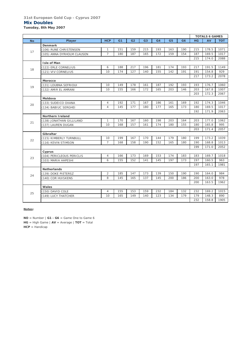#### **31st European Gold Cup - Cyprus 2007 Mix Doubles**

*Tuesday, 8th May 2007*

|           |                            |                |                |                |                |                |                |     |     | <b>TOTALS 6 GAMES</b> |            |
|-----------|----------------------------|----------------|----------------|----------------|----------------|----------------|----------------|-----|-----|-----------------------|------------|
| <b>No</b> | Player                     | <b>HCP</b>     | G <sub>1</sub> | G <sub>2</sub> | G <sub>3</sub> | G <sub>4</sub> | G <sub>5</sub> | G6  | HG  | AV                    | <b>TOT</b> |
|           | <b>Denmark</b>             |                |                |                |                |                |                |     |     |                       |            |
| 17        | (106) RUNE CHRISTENSEN     | $\mathbf{1}$   | 151            | 159            | 215            | 193            | 163            | 190 | 215 | 178.5                 | 1071       |
|           | (105) ANNA DYRHOLM CLAUSEN | $\overline{7}$ | 180            | 187            | 165            | 172            | 159            | 154 | 187 | 169.5                 | 1017       |
|           |                            |                |                |                |                |                |                |     | 215 | 174.0                 | 2088       |
|           | Isle of Man                |                |                |                |                |                |                |     |     |                       |            |
| 18        | (122) ERLE CORNELIUS       | 6              | 188            | 217            | 196            | 181            | 174            | 193 | 217 | 191.5                 | 1149       |
|           | (121) VIV CORNELIUS        | 10             | 174            | 127            | 140            | 155            | 142            | 191 | 191 | 154.8                 | 929        |
|           |                            |                |                |                |                |                |                |     | 217 | 173.2                 | 2078       |
|           | <b>Morocco</b>             |                |                |                |                |                |                |     |     |                       |            |
| 19        | (131) LOUBNA SEFRIOUI      | 10             | 149            | 178            | 161            | 187            | 192            | 193 | 193 | 176.7                 | 1060       |
|           | (132) AMIR EL AMRANI       | 10             | 155            | 166            | 172            | 165            | 203            | 146 | 203 | 167.8                 | 1007       |
|           |                            |                |                |                |                |                |                |     | 203 | 172.3                 | 2067       |
|           | Moldova                    |                |                |                |                |                |                |     |     |                       |            |
| 20        | (133) SUDEICO OXANA        | $\overline{4}$ | 192            | 171            | 167            | 186            | 161            | 169 | 192 | 174.3                 | 1046       |
|           | (134) BABIUC SERGHEI       | $\overline{4}$ | 145            | 177            | 180            | 177            | 165            | 173 | 180 | 169.5                 | 1017       |
|           |                            |                |                |                |                |                |                |     | 192 | 171.9                 | 2063       |
|           | <b>Northern I reland</b>   |                |                |                |                |                |                |     |     |                       |            |
|           | (138) JONATHAN GILLILAND   | 1              | 170            | 167            | 160            | 198            | 203            | 164 | 203 | 177.0                 | 1062       |
| 21        | (137) LAUREN DUGAN         | 10             | 168            | 157            | 161            | 174            | 180            | 155 | 180 | 165.8                 | 995        |
|           |                            |                |                |                |                |                |                |     | 203 | 171.4                 | 2057       |
|           | Gibraltar                  |                |                |                |                |                |                |     |     |                       |            |
| 22        | (115) KIMBERLY TURNBULL    | 10             | 199            | 167            | 170            | 144            | 179            | 180 | 199 | 173.2                 | 1039       |
|           | (116) KEVIN STIMSON        | $\overline{7}$ | 168            | 158            | 190            | 152            | 165            | 180 | 190 | 168.8                 | 1013       |
|           |                            |                |                |                |                |                |                |     | 199 | 171.0                 | 2052       |
|           | Cyprus                     |                |                |                |                |                |                |     |     |                       |            |
| 23        | (104) PERICLEOUS PERICLIS  | $\overline{4}$ | 166            | 173            | 169            | 153            | 174            | 183 | 183 | 169.7                 | 1018       |
|           | (103) MARIA HAPESHI        | 6              | 155            | 152            | 141            | 145            | 197            | 173 | 197 | 160.5                 | 963        |
|           |                            |                |                |                |                |                |                |     | 197 | 165.1                 | 1981       |
|           | <b>Netherlands</b>         |                |                |                |                |                |                |     |     |                       |            |
|           | (139) DOKE PIETERSZ        | $\overline{2}$ | 185            | 147            | 173            | 139            | 150            | 190 | 190 | 164.0                 | 984        |
| 24        | (140) COR HUISKENS         | 8              | 145            | 165            | 137            | 145            | 200            | 186 | 200 | 163.0                 | 978        |
|           |                            |                |                |                |                |                |                |     | 200 | 163.5                 | 1962       |
|           | Wales                      |                |                |                |                |                |                |     |     |                       |            |
|           | (150) DAVID COLE           | 4              | 155            | 153            | 159            | 232            | 184            | 132 | 232 | 169.2                 | 1015       |
| 25        | (149) LUCY THATCHER        | 10             | 165            | 149            | 140            | 123            | 134            | 179 | 179 | 148.3                 | 890        |
|           |                            |                |                |                |                |                |                |     | 232 | 158.8                 | 1905       |
|           |                            |                |                |                |                |                |                |     |     |                       |            |

**Notes:**

**NO** = Number | **G1 - G6** = Game One to Game 6 **HG** = High Game | **AV** = Average | **TOT** = Total **HCP** = Handicap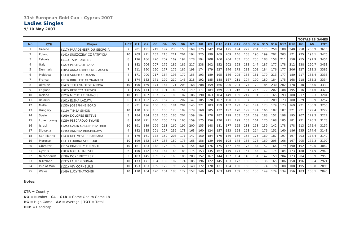#### **Ladies Singles**

*9/10 May 2007*

|           |               |                             |            |                |                |                |                |                |                |     |     |                | <b>TOTALS 18 GAMES</b> |     |     |     |     |                 |     |     |                 |                |       |            |
|-----------|---------------|-----------------------------|------------|----------------|----------------|----------------|----------------|----------------|----------------|-----|-----|----------------|------------------------|-----|-----|-----|-----|-----------------|-----|-----|-----------------|----------------|-------|------------|
| <b>No</b> | <b>CTR</b>    | Player                      | <b>HCP</b> | G <sub>1</sub> | G <sub>2</sub> | G <sub>3</sub> | G <sub>4</sub> | G <sub>5</sub> | G <sub>6</sub> | G7  | G8  | G <sub>9</sub> | G <sub>10</sub>        | G11 | G12 |     |     | G13 G14 G15 G16 |     | G17 | G <sub>18</sub> | <b>HG</b>      | AV    | <b>TOT</b> |
|           | Greece        | (117) PAPADEMETRIOU GEORGIA |            | 201            | 191            | 219            | 197            | 230            | 153            | 169 | 175 | 242            | 194                    | 175 | 194 | 222 | 201 | 175             | 250 | 188 | 240             | 250            | 200.9 | 3616       |
| 2         | Poland        | (141) SUSZCZEWICZ PATRYCJA  | 10         | 209            | 211            | 153            | 216            | 211            | 201            | 194 | 225 | 199            | 169                    | 209 | 146 | 168 | 190 | 199             | 202 | 203 | 171             | 225            | 193.1 | 3476       |
| 3         | Estonia       | (111) TAIMI DREIER          | 8          | 176            | 186            | 220            | 209            | 169            | 197            | 178 | 194 | 208            | 160                    | 204 | 183 | 200 | 255 | 188             | 158 | 211 | 158             | 255            | 191.9 | 3454       |
|           | Italy         | (127) PERTICATI SARA        |            | 182            | 206            | 207            | 179            | 185            | 186            | 217 | 238 | 202            | 152                    | 202 | 193 | 183 | 147 | 187             | 177 | 178 | 212             | 238            | 190.7 | 3433       |
| 5         | Denmark       | (105) ANNA DYRHOLM CLAUSEN  |            | 211            | 190            | 190            | 177            | 175            | 187            | 198 | 174 | 179            | 227                    | 146 | 173 | 218 | 201 | 184             | 176 | 177 | 206             | 227            | 188.3 | 3389       |
| 6         | Moldova       | (133) SUDEICO OXANA         |            | 171            | 200            | 217            | 164            | 193            | 172            | 155 | 193 | 189            | 195                    | 186 | 205 | 168 | 181 | 179             | 213 | 177 | 180             | 217            | 185.4 | 3338       |
|           | France        | (113) BRIGITTE GUYNAMANT    |            | 174            | 182            | 171            | 199            | 210            | 146            | 218 | 192 | 185            | 188                    | 167 | 211 | 194 | 190 | 180             | 184 | 175 | 168             | 218            | 185.2 | 3334       |
| 8         | Ukraine       | (147) TETIANA DEGTIAROVA    | 10         | 190            | 169            | 174            | 167            | 171            | 203            | 168 | 208 | 159            | 166                    | 200 | 204 | 177 | 179 | 185             | 230 | 202 | 178             | 230            | 185.0 | 3330       |
| 9         | England       | (107) REBECCA TREVOR        |            | 195            | 174            | 183            | 191            | 182            | 151            | 149 | 171 | 184            | 169                    | 204 | 216 | 181 | 215 | 172             | 202 | 188 | 195             | 216            | 184.6 | 3322       |
| 10        | Ireland       | (123) MICHELLE FRANCIS      | 10         | 191            | 187            | 167            | 179            | 185            | 187            | 186 | 190 | 163            | 184                    | 149 | 189 | 217 | 191 | 170             | 165 | 193 | 188             | 217            | 182.3 | 3281       |
| 11        | Belarus       | (101) ELENA LAZUTA          | $\Omega$   | 163            | 152            | 229            | 157            | 170            | 202            | 147 | 185 | 220            | 167                    | 190 | 186 | 167 | 190 | 170             | 209 | 173 | 180             | 229            | 180.9 | 3257       |
| 12        | Malta         | (135) JOSEPHINE BORG        | 8          | 221            | 196            | 168            | 188            | 184            | 201            | 145 | 221 | 183            | 159                    | 152 | 192 | 178 | 174 | 173             | 179 | 173 | 169             | $22^{\circ}$   | 180.9 | 3256       |
| 13        | Hungary       | (119) TIMEA SIMON           | 10         | 170            | 166            | 185            | 156            | 178            | 189            | 179 | 168 | 205            | 132                    | 197 | 170 | 199 | 174 | 166             | 187 | 187 | 221             | $22^{\degree}$ | 179.4 | 3229       |
| 14        | Spain         | (109) DOLORES ESTEVE        | 3          | 184            | 184            | 203            | 150            | 166            | 207            | 159 | 194 | 170            | 187                    | 199 | 163 | 164 | 169 | 183             | 152 | 198 | 195             | 207            | 179.3 | 3227       |
| 15        | Luxembourg    | (129) PESCAROLO SYLVIE      | 8          | 180            | 221            | 140            | 200            | 179            | 165            | 159 | 175 | 156            | 170                    | 211 | 199 | 153 | 161 | 170             | 168 | 185 | 181             | $22^{\degree}$ | 176.3 | 3173       |
| 16        | <b>Israel</b> | (125) GALIN GALLER HEATHER  | 10         | 191            | 189            | 199            | 213            | 169            | 197            | 200 | 155 | 148            | 181                    | 177 | 155 | 188 | 158 | 139             | 142 | 178 | 178             | 213            | 175.4 | 3157       |
| 17        | Slovakia      | (145) ANDREA REICHELOVA     | $\Delta$   | 182            | 185            | 201            | 227            | 235            | 173            | 163 | 160 | 124            | 157                    | 123 | 158 | 168 | 214 | 176             | 151 | 160 | 186             | 235            | 174.6 | 3143       |
| 18        | San Marino    | (143) DEL MESTRE BARBARA    | 8          | 179            | 161            | 178            | 159            | 203            | 171            | 147 | 150 | 184            | 170.                   | 189 | 166 | 158 | 175 | 169             | 187 | 197 | 197             | 203            | 174.4 | 3140       |
| 19        | Morocco       | (131) LOUBNA SEFRIOUI       | 10         | 199            | 182            | 157            | 156            | 189            | 173            | 168 | 156 | 139            | 166                    | 198 | 178 | 158 | 176 | 169             | 205 | 166 | 167             | 205            | 172.3 | 3102       |
| 20        | Gibraltar     | (115) KIMBERLY TURNBULL     | 10         | 161            | 183            | 148            | 176            | 192            | 160            | 154 | 160 | 176            | 175                    | 167 | 166 | 175 | 164 | 152             | 164 | 179 | 190             | 192            | 169.0 | 3042       |
| 21        | Cyprus        | (103) MARIA HAPESHI         | 6          | 150            | 172            | 155            | 167            | 163            | 188            | 175 | 153 | 135            | 167                    | 149 | 171 | 167 | 164 | 162             | 174 | 184 | 173             | 188            | 164.9 | 2969       |
| 22        | Netherlands   | (139) DOKE PIETERSZ         |            | 183            | 145            | 139            | 173            | 160            | 186            | 203 | 152 | 167            | 144                    | 127 | 164 | 148 | 181 | 142             | 159 | 204 | 173             | 204            | 163.9 | 2950       |
| 23        | N.Ireland     | (137) LAUREN DUGAN          | 10         | 173            | 171            | 134            | 139            | 182            | 174            | 185 | 196 | 122            | 145                    | 163 | 172 | 160 | 163 | 136             | 165 | 186 | 158             | 196            | 162.4 | 2924       |
| 24        | Isle of Man   | (121) VIV CORNELIUS         | 10         | 153            | 163            | 159            | 172            | 195            | 127            | 148 | 172 | 170            | 131                    | 154 | 180 | 168 | 155 | 174             | 178 | 188 | 108             | 195            | 160.8 | 2895       |
| 25        | Wales         | (149) LUCY THATCHER         | 10         | 170            | 164            | 170            | 154            | 183            | 172            | 157 | 146 | 145            | 163                    | 149 | 169 | 156 | 135 | 149             | 174 | 134 | 156             | 183            | 158.1 | 2846       |

#### **Notes:**

**CTR** = Country

**NO** = Number | **G1 - G18** = Game One to Game 18 **HG** = High Game | **AV** = Average | **TOT** = Total

**HCP** = Handicap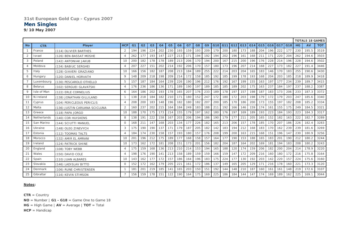#### **31st European Gold Cup - Cyprus 2007**

#### **Men Singles**

*9/10 May 2007*

|           | <b>TOTALS 18 GAMES</b> |                               |                |                |                 |                |                |                |                |     |     |                |     |     |         |     |     |     |         |     |     |           |           |            |
|-----------|------------------------|-------------------------------|----------------|----------------|-----------------|----------------|----------------|----------------|----------------|-----|-----|----------------|-----|-----|---------|-----|-----|-----|---------|-----|-----|-----------|-----------|------------|
| <b>No</b> | <b>CTR</b>             | <b>Player</b>                 | <b>HCP</b>     | G <sub>1</sub> | G <sub>2</sub>  | G <sub>3</sub> | G <sub>4</sub> | G <sub>5</sub> | G <sub>6</sub> | G7  | G8  | G <sub>9</sub> | G10 |     | G11 G12 | G13 | G14 |     | G15 G16 | G17 | G18 | <b>HG</b> | <b>AV</b> | <b>TOT</b> |
|           | France                 | (114) OLIVIER BARTHES         | 2              | 194            | 196             | 224            | 202            | 230            | 193            | 159 | 193 | 209            | 179 | 200 | 180     | 173 | 188 | 204 | 196     | 222 | 177 | 230       | 195.5     | 3519       |
| 2         | Israel                 | (126) BEN-BASSAT MOSHE        |                | 262            | 177             | 193            | 147            | 227            | 213            | 171 | 194 | 192            | 194 | 202 | 196     | 161 | 168 | 21' | 171     | 220 | 204 | 262       | 194.6     | 3503       |
| 3         | Poland                 | (142) ANTONIAK JAKUB          | 10             | 200            | 182             | 178            | 178            | 189            | 213            | 206 | 170 | 194            | 200 | 167 | 215     | 200 | 196 | 176 | 228     | 214 | 196 | 228       | 194.6     | 3502       |
|           | Moldova                | (134) BABIUC SERGHEI          | 4              | 207            | 227             | 151            | 202            | 214            | 192            | 206 | 170 | 157            | 180 | 173 | 196     | 207 | 214 | 168 | 227     | 173 | 182 | 227       | 191.4     | 3446       |
| 5         | Italy                  | (128) GIAVERI GRAZIANO        | 10             | 166            | 156             | 182            | 187            | 208            | 213            | 184 | 189 | 255            | 222 | 214 | 203     | 204 | 165 | 183 | 146     | 170 | 183 | 255       | 190.6     | 3430       |
| 6         | Hungary                | (120) DANIEL HORVATH          | 9              | 148            | 209             | 218            | 198            | 209            | 214            | 172 | 158 | 185            | 192 | 185 | 199     | 178 | 193 | 168 | 204     | 203 | 185 | 218       | 189.9     | 3418       |
|           | Luxembourg             | (130) PESCAROLO OTHELLO       | 5              | 157            | 187             | 184            | 164            | 239            | 226            | 190 | 196 | 212            | 176 | 192 | 167     | 199 | 155 | 163 | 197     | 177 | 234 | 239       | 189.7     | 3415       |
| 8         | <b>Belarus</b>         | (102) SERGUEI GLAVATSKI       | $\overline{4}$ | 176            | 236             | 186            | 136            | 171            | 189            | 190 | 197 | 189            | 185 | 185 | 189     | 202 | 175 | 163 | 237     | 184 | 197 | 237       | 188.2     | 3387       |
| 9         | Isle of Man            | (122) ERLE CORNELIUS          | 6              | 164            | 186             | 202            | 193            | 178            | 165            | 207 | 176 | 233            | 189 | 178 | 197     | 157 | 198 | 187 | 183     | 173 | 206 | 233       | 187.3     | 3372       |
| 10        | N.Ireland              | (138) JONATHAN GILLILAND      | $\mathbf{1}$   | 138            | 218             | 184            | 182            | 210            | 171            | 180 | 152 | 247            | 172 | 180 | 172     | 203 | 198 | 179 | 172     | 179 | 203 | 247       | 185.6     | 3340       |
| 11        | Cyprus                 | (104) PERICLEOUS PERICLIS     |                | 208            | 200             | 183            | 148            | 196            | 182            | 180 | 182 | 207            | 200 | 185 | 170     | 186 | 200 | 173 | 155     | 197 | 182 | 208       | 185.2     | 3334       |
| 12        | Malta                  | (136) JUSTIN CARUANA SCICLUNA | $\overline{2}$ | 160            | 237             | 202            | 215            | 164            | 184            | 249 | 183 | 188            | 211 | 192 | 166     | 146 | 159 | 174 | 161     | 155 | 175 | 249       | 184.5     | 3321       |
| 13        | Greece                 | (118) PAPA JORGO              | 10             | 188            | 170             | 175            | 173            | 214            | 155            | 179 | 197 | 162            | 180 | 176 | 197     | 169 | 189 | 193 | 223     | 184 | 193 | 223       | 184.3     | 3317       |
| 14        | Netherlands            | (140) COR HUISKENS            | 8              | 138            | 191             | 222            | 158            | 167            | 203            | 206 | 194 | 186            | 190 | 179 | 177     | 211 | 205 | 165 | 152     | 182 | 163 | 222       | 182.7     | 3289       |
| 15        | San Marino             | (144) SCIUTTI MANUEL          | $\Omega$       | 168            | 211             | 147            | 168            | 203            | 134            | 177 | 226 | 182            | 165 | 213 | 206     | 157 | 178 | 185 | 170     | 207 | 186 | 226       | 182.4     | 3283       |
| 16        | Ukraine                | (148) OLEG ZINEVYCH           | 3              | 175            | 190             | 190            | 137            | 171            | 179            | 187 | 205 | 182            | 142 | 183 | 194     | 212 | 168 | 183 | 170     | 162 | 239 | 239       | 181.6     | 3269       |
| 17        | Estonia                | (112) TOOMAS TALTS            | $\overline{4}$ | 184            | 174             | 230            | 158            | 157            | 193            | 180 | 157 | 176            | 208 | 199 | 200     | 163 | 215 | 168 | 151     | 196 | 147 | 230       | 180.9     | 3256       |
| 18        | Morocco                | (132) AMIR EL AMRANI          | 10             | 201            | 196             | 212            | 175            | 189            | 177            | 168 | 158 | 157            | 164 | 177 | 190     | 153 | 188 | 165 | 183     | 201 | 190 | 212       | 180.2     | 3244       |
| 19        | Ireland                | (124) PATRICK SHINE           | 10             | 173            | 162             | 172            | 181            | 208            | 151            | 173 | 201 | 156            | 182 | 204 | 187     | 164 | 202 | 169 | 181     | 194 | 183 | 208       | 180.2     | 3243       |
| 20        | England                | (108) TOBY WEBB               | $\overline{4}$ | 175            | 159             | 168            | 136            | 213            | 210            | 214 | 153 | 194            | 165 | 188 | 120     | 174 | 159 | 206 | 182     | 200 | 204 | 214       | 178.9     | 3220       |
| 21        | Wales                  | (150) DAVID COLE              |                | 198            | 176             | 190            | 141            | 213            | 158            | 189 | 159 | 159            | 166 | 159 | 147     | 172 | 209 | 216 | 160     | 180 | 172 | 216       | 175.8     | 3164       |
| 22        | Spain                  | (110) JUAN ALBARES            | 10             | 143            | 162             | 177            | 172            | 157            | 186            | 164 | 196 | 183            | 175 | 224 | 177     | 130 | 192 | 203 | 142     | 220 | 157 | 224       | 175.6     | 3160       |
| 23        | Slovakia               | (146) LADISLAV BITTO          | 0              | 152            | 172             | 162            | 179            | 205            | 221            | 161 | 172 | 186            | 137 | 149 | 165     | 205 | 129 | 17' | 216     | 178 | 160 | 221       | 173.3     | 3120       |
| 24        | Denmark                | (106) RUNE CHRISTENSEN        |                | 181            | 20 <sup>1</sup> | 219            | 185            | 141            | 165            | 203 | 150 | 151            | 192 | 144 | 148     | 210 | 187 | 160 | 161     | 161 | 148 | 219       | 172.6     | 3107       |
| 25        | Gibraltar              | (116) KEVIN STIMSON           | $\overline{7}$ | 156            | 159             | 178            | 151            | 122            | 190            | 164 | 175 | 169            | 225 | 186 | 184     | 144 | 147 | 174 | 169     | 189 | 162 | 225       | 169.1     | 3044       |

#### **Notes:**

**CTR** = Country **NO** = Number | **G1 - G18** = Game One to Game 18 **HG** = High Game | **AV** = Average | **TOT** = Total **HCP** = Handicap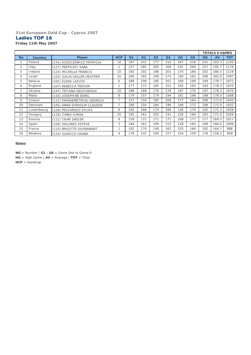#### **31st European Gold Cup - Cyprus 2007 Ladies TOP 16** *Friday 11th May 2007*

|                |                |                             |                |                |                |                |     |                |                |           | <b>TOTALS 6 GAMES</b> |            |
|----------------|----------------|-----------------------------|----------------|----------------|----------------|----------------|-----|----------------|----------------|-----------|-----------------------|------------|
| No.            | <b>Country</b> | Player                      | <b>HCP</b>     | G <sub>1</sub> | G <sub>2</sub> | G <sub>3</sub> | G4  | G <sub>5</sub> | G <sub>6</sub> | <b>HG</b> | AV                    | <b>TOT</b> |
|                | Poland         | (141) SUSZCZEWICZ PATRYCJA  | 10             | 187            | 241            | 177            | 210 | 187            | 218            | 241       | 203.3                 | 1220       |
| $\overline{2}$ | Italy          | (127) PERTICATI SARA        | 1              | 227            | 182            | 205            | 169 | 191            | 200            | 227       | 195.7                 | 1174       |
| 3              | Ireland        | (123) MICHELLE FRANCIS      | 10             | 192            | 202            | 166            | 201 | 170            | 188            | 202       | 186.5                 | 1119       |
| 4              | Israel         | (125) GALIN GALLER HEATHER  | 10             | 206            | 165            | 200            | 173 | 190            | 163            | 206       | 182.8                 | 1097       |
| 5              | <b>Belarus</b> | (101) ELENA LAZUTA          | $\Omega$       | 188            | 190            | 166            | 161 | 168            | 199            | 199       | 178.7                 | 1072       |
| 6              | England        | (107) REBECCA TREVOR        | $\mathbf{1}$   | 177            | 172            | 185            | 151 | 192            | 193            | 193       | 178.3                 | 1070       |
| 7              | Ukraine        | (147) TETIANA DEGTIAROVA    | 10             | 186            | 168            | 170            | 179 | 197            | 170            | 197       | 178.3                 | 1070       |
| 8              | Malta          | (135) JOSEPHINE BORG        | 8              | 179            | 157            | 179            | 194 | 161            | 198            | 198       | 178.0                 | 1068       |
| 9              | Greece         | (117) PAPADEMETRIOU GEORGIA | $\overline{7}$ | 157            | 154            | 185            | 206 | 177            | 164            | 206       | 173.8                 | 1043       |
| 10             | Denmark        | (105) ANNA DYRHOLM CLAUSEN  | $\overline{7}$ | 180            | 154            | 184            | 196 | 146            | 172            | 196       | 172.0                 | 1032       |
| 11             | Luxembourg     | (129) PESCAROLO SYLVIE      | 8              | 192            | 166            | 174            | 186 | 136            | 174            | 192       | 171.3                 | 1028       |
| 12             | Hungary        | (119) TIMEA SIMON           | 10             | 182            | 161            | 202            | 141 | 156            | 184            | 202       | 171.0                 | 1026       |
| 13             | Estonia        | (111) TAIMI DREIER          | 8              | 159            | 171            | 171            | 171 | 168            | 177            | 177       | 169.5                 | 1017       |
| 14             | Spain          | (109) DOLORES ESTEVE        | 3              | 184            | 161            | 199            | 153 | 128            | 183            | 199       | 168.0                 | 1008       |
| 15             | France         | (113) BRIGITTE GUYNAMANT    |                | 182            | 174            | 149            | 162 | 155            | 166            | 182       | 164.7                 | 988        |
| 16             | Moldova        | (133) SUDEICO OXANA         | $\overline{4}$ | 178            | 141            | 160            | 157 | 154            | 159            | 178       | 158.2                 | 949        |

**Notes:**

**NO** = Number | **G1 - G6** = Game One to Game 6 **HG** = High Game | **AV** = Average | **TOT** = Total

**HCP** = Handicap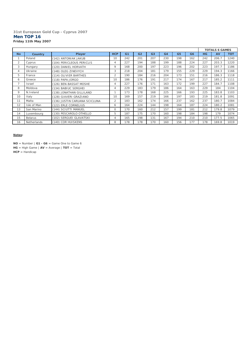#### **31st European Gold Cup - Cyprus 2007 Men TOP 16** *Friday 11th May 2007*

|           |                |                               |                |                |                |                |                |                |                |     | <b>TOTALS 6 GAMES</b> |            |
|-----------|----------------|-------------------------------|----------------|----------------|----------------|----------------|----------------|----------------|----------------|-----|-----------------------|------------|
| <b>No</b> | <b>Country</b> | Player                        | <b>HCP</b>     | G <sub>1</sub> | G <sub>2</sub> | G <sub>3</sub> | G <sub>4</sub> | G <sub>5</sub> | G <sub>6</sub> | HG  | AV                    | <b>TOT</b> |
|           | Poland         | (142) ANTONIAK JAKUB          | 10             | 242            | 201            | 207            | 230            | 198            | 162            | 242 | 206.7                 | 1240       |
| 2         | Cyprus         | (104) PERICLEOUS PERICLIS     | $\overline{4}$ | 227            | 194            | 188            | 199            | 188            | 224            | 227 | 203.3                 | 1220       |
| 3         | Hungary        | (120) DANIEL HORVATH          | 9              | 168            | 200            | 197            | 223            | 196            | 202            | 223 | 197.7                 | 1186       |
| 4         | Ukraine        | (148) OLEG ZINEVYCH           | 3              | 218            | 204            | 181            | 179            | 155            | 229            | 229 | 194.3                 | 1166       |
| 5         | France         | (114) OLIVIER BARTHES         | 2              | 190            | 184            | 216            | 204            | 173            | 151            | 216 | 186.3                 | 1118       |
| 6         | Greece         | (118) PAPA JORGO              | 10             | 186            | 176            | 191            | 217            | 174            | 167            | 217 | 185.2                 | 1111       |
| 7         | Israel         | (126) BEN-BASSAT MOSHE        | 4              | 227            | 176            | 171            | 163            | 172            | 199            | 227 | 184.7                 | 1108       |
| 8         | Moldova        | (134) BABIUC SERGHEI          | 4              | 229            | 183            | 179            | 186            | 164            | 163            | 229 | 184                   | 1104       |
| 9         | N.Ireland      | (138) JONATHAN GILLILAND      |                | 173            | 178            | 168            | 225            | 166            | 193            | 225 | 183.8                 | 1103       |
| 10        | Italy          | (128) GIAVERI GRAZIANO        | 10             | 169            | 157            | 219            | 166            | 197            | 183            | 219 | 181.8                 | 1091       |
| 11        | Malta          | (136) JUSTIN CARUANA SCICLUNA | 2              | 183            | 162            | 174            | 166            | 237            | 162            | 237 | 180.7                 | 1084       |
| 12        | Isle of Man    | (122) ERLE CORNELIUS          | 6              | 164            | 224            | 144            | 198            | 164            | 187            | 224 | 180.2                 | 1081       |
| 13        | San Marino     | (144) SCIUTTI MANUEL          | 0              | 170            | 160            | 212            | 157            | 199            | 181            | 212 | 179.8                 | 1079       |
| 14        | Luxembourg     | (130) PESCAROLO OTHELLO       | 5              | 187            | 175            | 170            | 160            | 198            | 184            | 198 | 179                   | 1074       |
| 15        | <b>Belarus</b> | (102) SERGUEI GLAVATSKI       | 4              | 165            | 198            | 131            | 167            | 194            | 210            | 210 | 177.5                 | 1065       |
| 16        | Netherlands    | (140) COR HUISKENS            | 8              | 178            | 178            | 170            | 160            | 156            | 177            | 178 | 169.8                 | 1019       |

**Notes:**

**NO** = Number | **G1 - G6** = Game One to Game 6 **HG** = High Game | **AV** = Average | **TOT** = Total **HCP** = Handicap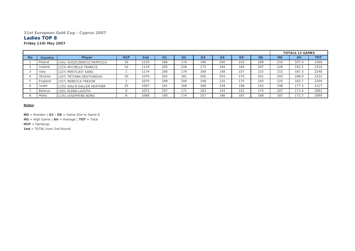#### **31st European Gold Cup - Cyprus 2007**

#### **Ladies TOP 8**

#### *Friday 11th May 2007*

|           |               |                            |            |      |                |                |                |                |                |                |     | <b>TOTALS 12 GAMES</b> |            |
|-----------|---------------|----------------------------|------------|------|----------------|----------------|----------------|----------------|----------------|----------------|-----|------------------------|------------|
| <b>No</b> | Country       | <b>Player</b>              | <b>HCP</b> | 2nd  | G <sub>1</sub> | G <sub>2</sub> | G <sub>3</sub> | G <sub>4</sub> | G <sub>5</sub> | G <sub>6</sub> | HG  | <b>AV</b>              | <b>TOT</b> |
|           | Poland        | (141) SUSZCZEWICZ PATRYCJA | 10         | 1220 | 186            | 174            | 190            | 200            | 210            | 189            | 210 | 197.4                  | 2369       |
|           | Ireland       | (123) MICHELLE FRANCIS     | 10         | 1119 | 205            | 226            | 175            | 194            | 184            | 207            | 226 | 192.5                  | 2310       |
|           | Italy         | (127) PERTICATI SARA       |            | 1174 | 206            | 179            | 169            | 148            | 157            | 215            | 215 | 187.3                  | 2248       |
|           | Ukraine       | (147) TETIANA DEGTIAROVA   | 10         | 1070 | 202            | 181            | 200            | 203            | 175            | 201            | 203 | 186.0                  | 2232       |
|           | England       | (107) REBECCA TREVOR       |            | 1070 | 189            | 204            | 148            | 225            | 175            | 193            | 225 | 183.7                  | 2204       |
|           | <b>Israel</b> | (125) GALIN GALLER HEATHER | 10         | 1097 | 191            | 169            | 168            | 149            | 198            | 155            | 198 | 177.3                  | 2127       |
|           | Belarus       | (101) ELENA LAZUTA         |            | 1072 | 207            | 171            | 163            | 143            | 151            | 174            | 207 | 173.4                  | 2081       |
|           | Malta         | (135) JOSEPHINE BORG       |            | 1068 | 140            | 174            | 157            | 166            | 187            | 168            | 187 | 171.7                  | 2060       |

#### **Notes:**

**NO** = Number | **G1 - G6** = Game One to Game 6

**HG** = High Game | **AV** = Average | **TOT** = Total

**HCP** = Handicap

**2nd** = TOTAL from 2nd Round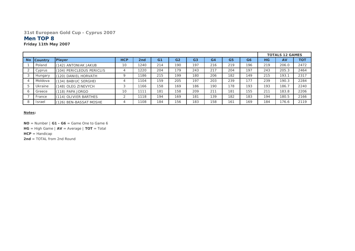#### **31st European Gold Cup - Cyprus 2007**

### **Men TOP 8**

*Friday 11th May 2007*

|           |                |                           |            |                 |                |                |                |     |                |                |     | <b>TOTALS 12 GAMES</b> |            |
|-----------|----------------|---------------------------|------------|-----------------|----------------|----------------|----------------|-----|----------------|----------------|-----|------------------------|------------|
| <b>No</b> | <b>Country</b> | <b>Player</b>             | <b>HCP</b> | 2 <sub>nd</sub> | G <sub>1</sub> | G <sub>2</sub> | G <sub>3</sub> | G4  | G <sub>5</sub> | G <sub>6</sub> | HG  | AV                     | <b>TOT</b> |
|           | Poland         | (142) ANTONIAK JAKUB      | 10         | 1240            | 214            | 190            | 197            | 216 | 219            | 196            | 219 | 206.0                  | 2472       |
|           | Cyprus         | (104) PERICLEOUS PERICLIS |            | 1220            | 204            | 179            | 243            | 217 | 204            | 197            | 243 | 205.3                  | 2464       |
|           | Hungary        | (120) DANIEL HORVATH      |            | 1186            | 215            | 199            | 180            | 206 | 182            | 149            | 215 | 193.1                  | 2317       |
|           | Moldova        | (134) BABIUC SERGHEI      | 4          | 1104            | 159            | 205            | 197            | 203 | 239            | 177            | 239 | 190.3                  | 2284       |
|           | Ukraine        | (148) OLEG ZINEVYCH       | 3          | 1166            | 158            | 169            | 186            | 190 | 178            | 193            | 193 | 186.7                  | 2240       |
| $\circ$   | Greece         | (118) PAPA JORGO          | 10         | 1111            | 181            | 158            | 209            | 211 | 181            | 155            | 211 | 183.8                  | 2206       |
|           | France         | (114) OLIVIER BARTHES     | C          | 1118            | 194            | 169            | 181            | 139 | 182            | 183            | 194 | 180.5                  | 2166       |
| 8         | Israel         | (126) BEN-BASSAT MOSHE    |            | 1108            | 184            | 156            | 183            | 158 | 161            | 169            | 184 | 176.6                  | 2119       |

#### **Notes:**

**NO** = Number | **G1 - G6** = Game One to Game 6

**HG** = High Game | **AV** = Average | **TOT** = Total

**HCP** = Handicap

**2nd** = TOTAL from 2nd Round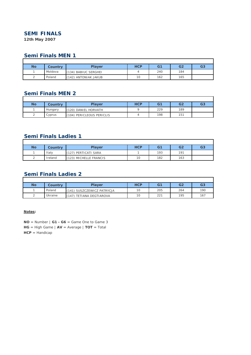### **SEMI FINALS**

*12th May 2007*

## **Semi Finals MEN 1**

| <b>No</b> | Country | <b>Plaver</b>        | <b>HCP</b> | G <sub>1</sub> | G2  | G <sub>3</sub> |
|-----------|---------|----------------------|------------|----------------|-----|----------------|
|           | Moldova | (134) BABIUC SERGHEI |            | 240            | 184 |                |
|           | Poland  | (142) ANTONIAK JAKUB | 10         | 162            | 165 |                |

# **Semi Finals MEN 2**

| <b>No</b> | Country | <b>Player</b>             | <b>HCP</b> | G <sub>1</sub> | G <sub>2</sub> | G <sub>3</sub> |
|-----------|---------|---------------------------|------------|----------------|----------------|----------------|
|           | Hungary | (120) DANIEL HORVATH      |            | 229            | 189            |                |
| $\sim$    | Cyprus  | (104) PERICLEOUS PERICLIS |            | 198            | 151            |                |

# **Semi Finals Ladies 1**

| No     | <b>Country</b> | <b>Player</b>          | <b>HCP</b> | G1  | G <sub>2</sub> | G <sub>3</sub> |
|--------|----------------|------------------------|------------|-----|----------------|----------------|
|        | Italy          | (127) PERTICATI SARA   |            | 193 | 191            |                |
| $\sim$ | Ireland        | (123) MICHELLE FRANCIS | 10         | 182 | 163            |                |

# **Semi Finals Ladies 2**

| <b>No</b> | Country | <b>Plaver</b>              | <b>HCP</b> | G1  | G <sub>2</sub> | G <sub>3</sub> |
|-----------|---------|----------------------------|------------|-----|----------------|----------------|
|           | Poland  | (141) SUSZCZEWICZ PATRYCJA | 10         | 205 | 264            | 190            |
|           | Ukraine | (147) TETIANA DEGTIAROVA   | 10         | 221 | 195            | 167            |

#### **Notes:**

**NO** = Number | **G1 - G6** = Game One to Game 3 **HG** = High Game | **AV** = Average | **TOT** = Total **HCP** = Handicap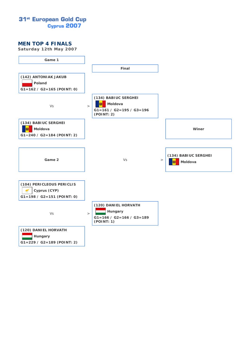# 31<sup>st</sup> European Gold Cup Cyprus 2007

#### **MEN TOP 4 FINALS**

*Saturday 12th May 2007*